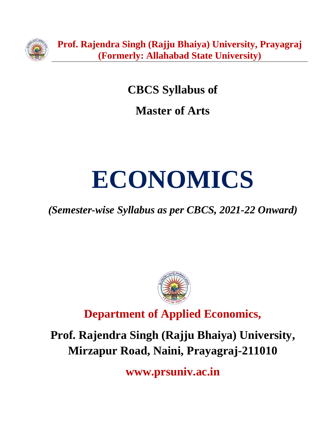

**CBCS Syllabus of**

**Master of Arts**

# **ECONOMICS**

*(Semester-wise Syllabus as per CBCS, 2021-22 Onward)*



**Department of Applied Economics,**

**Prof. Rajendra Singh (Rajju Bhaiya) University, Mirzapur Road, Naini, Prayagraj-211010**

**www.prsuniv.ac.in**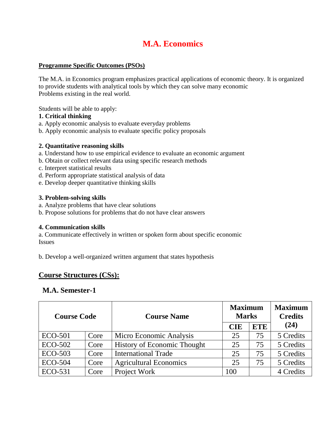# **M.A. Economics**

#### **Programme Specific Outcomes (PSOs)**

The M.A. in Economics program emphasizes practical applications of economic theory. It is organized to provide students with analytical tools by which they can solve many economic Problems existing in the real world.

Students will be able to apply:

#### **1. Critical thinking**

- a. Apply economic analysis to evaluate everyday problems
- b. Apply economic analysis to evaluate specific policy proposals

#### **2. Quantitative reasoning skills**

- a. Understand how to use empirical evidence to evaluate an economic argument
- b. Obtain or collect relevant data using specific research methods
- c. Interpret statistical results
- d. Perform appropriate statistical analysis of data
- e. Develop deeper quantitative thinking skills

#### **3. Problem-solving skills**

- a. Analyze problems that have clear solutions
- b. Propose solutions for problems that do not have clear answers

#### **4. Communication skills**

a. Communicate effectively in written or spoken form about specific economic Issues

b. Develop a well-organized written argument that states hypothesis

#### **Course Structures (CSs):**

#### **M.A. Semester-1**

| <b>Course Code</b> |      | <b>Course Name</b>                 | <b>Maximum</b><br><b>Marks</b> |            | <b>Maximum</b><br><b>Credits</b> |
|--------------------|------|------------------------------------|--------------------------------|------------|----------------------------------|
|                    |      |                                    | <b>CIE</b>                     | <b>ETE</b> | (24)                             |
| ECO-501            | Core | Micro Economic Analysis            | 25                             | 75         | 5 Credits                        |
| <b>ECO-502</b>     | Core | <b>History of Economic Thought</b> | 25                             | 75         | 5 Credits                        |
| <b>ECO-503</b>     | Core | <b>International Trade</b>         | 25                             | 75         | 5 Credits                        |
| <b>ECO-504</b>     | Core | <b>Agricultural Economics</b>      | 25                             | 75         | 5 Credits                        |
| ECO-531            | Core | Project Work                       | 100                            |            | 4 Credits                        |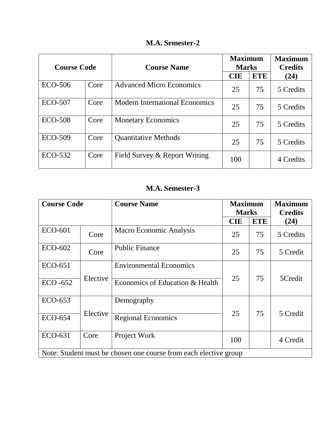|  | <b>M.A. Semester-2</b> |
|--|------------------------|
|--|------------------------|

| <b>Course Code</b> |      | <b>Course Name</b>                    | <b>Maximum</b><br><b>Marks</b> |            | <b>Maximum</b><br><b>Credits</b> |
|--------------------|------|---------------------------------------|--------------------------------|------------|----------------------------------|
|                    |      |                                       | <b>CIE</b>                     | <b>ETE</b> | (24)                             |
| <b>ECO-506</b>     | Core | <b>Advanced Micro Economics</b>       | 25                             | 75         | 5 Credits                        |
| <b>ECO-507</b>     | Core | <b>Modern International Economics</b> | 25                             | 75         | 5 Credits                        |
| <b>ECO-508</b>     | Core | <b>Monetary Economics</b>             | 25                             | 75         | 5 Credits                        |
| <b>ECO-509</b>     | Core | <b>Quantitative Methods</b>           | 25                             | 75         | 5 Credits                        |
| ECO-532            | Core | Field Survey & Report Writing         | 100                            |            | 4 Credits                        |

# **M.A. Semester-3**

| <b>Course Code</b>                                               |          | <b>Course Name</b>              | <b>Maximum</b><br><b>Marks</b> |            | <b>Maximum</b><br><b>Credits</b> |
|------------------------------------------------------------------|----------|---------------------------------|--------------------------------|------------|----------------------------------|
|                                                                  |          |                                 | <b>CIE</b>                     | <b>ETE</b> | (24)                             |
| <b>ECO-601</b>                                                   | Core     | Macro Economic Analysis         | 25                             | 75         | 5 Credits                        |
| ECO-602                                                          | Core     | <b>Public Finance</b>           | 25                             | 75         | 5 Credit                         |
| ECO-651                                                          |          | <b>Environmental Economics</b>  |                                |            |                                  |
| $ECO - 652$                                                      | Elective | Economics of Education & Health | 25                             | 75         | 5Credit                          |
| ECO-653                                                          |          | Demography                      |                                |            |                                  |
| <b>ECO-654</b>                                                   | Elective | <b>Regional Economics</b>       | 25                             | 75         | 5 Credit                         |
| ECO-631                                                          | Core     | Project Work                    | 100                            |            | 4 Credit                         |
| Note: Student must be chosen one course from each elective group |          |                                 |                                |            |                                  |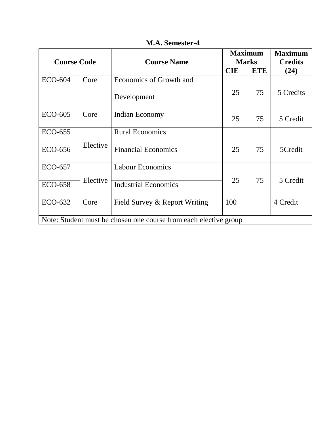| <b>Course Code</b>                                               |          | <b>Course Name</b>                     | <b>Maximum</b><br><b>Marks</b> |            | <b>Maximum</b><br><b>Credits</b> |
|------------------------------------------------------------------|----------|----------------------------------------|--------------------------------|------------|----------------------------------|
|                                                                  |          |                                        | <b>CIE</b>                     | <b>ETE</b> | (24)                             |
| <b>ECO-604</b>                                                   | Core     | Economics of Growth and<br>Development | 25                             | 75         | 5 Credits                        |
| <b>ECO-605</b>                                                   | Core     | Indian Economy                         | 25                             | 75         | 5 Credit                         |
| <b>ECO-655</b>                                                   | Elective | <b>Rural Economics</b>                 |                                |            |                                  |
| ECO-656                                                          |          | <b>Financial Economics</b>             | 25                             | 75         | 5Credit                          |
| <b>ECO-657</b>                                                   | Elective | <b>Labour Economics</b>                |                                | 75         |                                  |
| <b>ECO-658</b>                                                   |          | <b>Industrial Economics</b>            | 25                             |            | 5 Credit                         |
| ECO-632                                                          | Core     | Field Survey & Report Writing          | 100                            |            | 4 Credit                         |
| Note: Student must be chosen one course from each elective group |          |                                        |                                |            |                                  |

**M.A. Semester-4**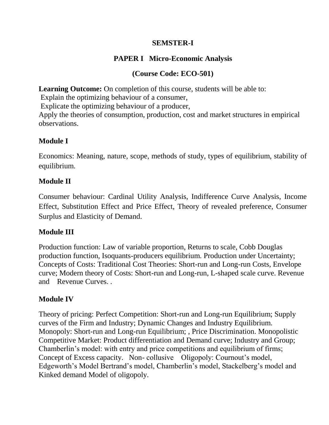## **SEMSTER-I**

# **PAPER I Micro-Economic Analysis**

# **(Course Code: ECO-501)**

**Learning Outcome:** On completion of this course, students will be able to:

Explain the optimizing behaviour of a consumer,

Explicate the optimizing behaviour of a producer,

Apply the theories of consumption, production, cost and market structures in empirical observations.

# **Module I**

Economics: Meaning, nature, scope, methods of study, types of equilibrium, stability of equilibrium.

# **Module II**

Consumer behaviour: Cardinal Utility Analysis, Indifference Curve Analysis, Income Effect, Substitution Effect and Price Effect, Theory of revealed preference, Consumer Surplus and Elasticity of Demand.

# **Module III**

Production function: Law of variable proportion, Returns to scale, Cobb Douglas production function, Isoquants-producers equilibrium. Production under Uncertainty; Concepts of Costs: Traditional Cost Theories: Short-run and Long-run Costs, Envelope curve; Modern theory of Costs: Short-run and Long-run, L-shaped scale curve. Revenue and Revenue Curves. .

# **Module IV**

Theory of pricing: Perfect Competition: Short-run and Long-run Equilibrium; Supply curves of the Firm and Industry; Dynamic Changes and Industry Equilibrium. Monopoly: Short-run and Long-run Equilibrium; , Price Discrimination. Monopolistic Competitive Market: Product differentiation and Demand curve; Industry and Group; Chamberlin's model: with entry and price competitions and equilibrium of firms; Concept of Excess capacity. Non- collusive Oligopoly: Cournout's model, Edgeworth's Model Bertrand's model, Chamberlin's model, Stackelberg's model and Kinked demand Model of oligopoly.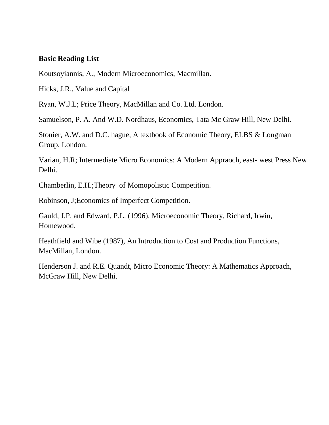#### **Basic Reading List**

Koutsoyiannis, A., Modern Microeconomics, Macmillan.

Hicks, J.R., Value and Capital

Ryan, W.J.L; Price Theory, MacMillan and Co. Ltd. London.

Samuelson, P. A. And W.D. Nordhaus, Economics, Tata Mc Graw Hill, New Delhi.

Stonier, A.W. and D.C. hague, A textbook of Economic Theory, ELBS & Longman Group, London.

Varian, H.R; Intermediate Micro Economics: A Modern Appraoch, east- west Press New Delhi.

Chamberlin, E.H.;Theory of Momopolistic Competition.

Robinson, J;Economics of Imperfect Competition.

Gauld, J.P. and Edward, P.L. (1996), Microeconomic Theory, Richard, Irwin, Homewood.

Heathfield and Wibe (1987), An Introduction to Cost and Production Functions, MacMillan, London.

Henderson J. and R.E. Quandt, Micro Economic Theory: A Mathematics Approach, McGraw Hill, New Delhi.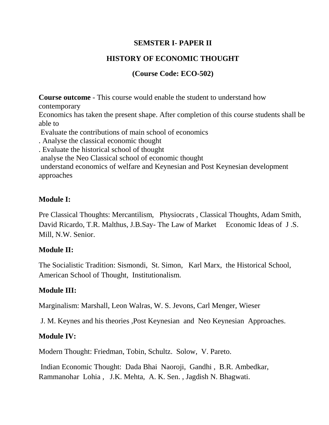## **SEMSTER I- PAPER II**

# **HISTORY OF ECONOMIC THOUGHT**

# **(Course Code: ECO-502)**

**Course outcome** - This course would enable the student to understand how contemporary Economics has taken the present shape. After completion of this course students shall be able to Evaluate the contributions of main school of economics . Analyse the classical economic thought . Evaluate the historical school of thought analyse the Neo Classical school of economic thought understand economics of welfare and Keynesian and Post Keynesian development approaches

#### **Module I:**

Pre Classical Thoughts: Mercantilism, Physiocrats , Classical Thoughts, Adam Smith, David Ricardo, T.R. Malthus, J.B.Say- The Law of Market Economic Ideas of J.S. Mill, N.W. Senior.

#### **Module II:**

The Socialistic Tradition: Sismondi, St. Simon, Karl Marx, the Historical School, American School of Thought, Institutionalism.

# **Module III:**

Marginalism: Marshall, Leon Walras, W. S. Jevons, Carl Menger, Wieser

J. M. Keynes and his theories ,Post Keynesian and Neo Keynesian Approaches.

# **Module IV:**

Modern Thought: Friedman, Tobin, Schultz. Solow, V. Pareto.

Indian Economic Thought: Dada Bhai Naoroji, Gandhi , B.R. Ambedkar, Rammanohar Lohia , J.K. Mehta, A. K. Sen. , Jagdish N. Bhagwati.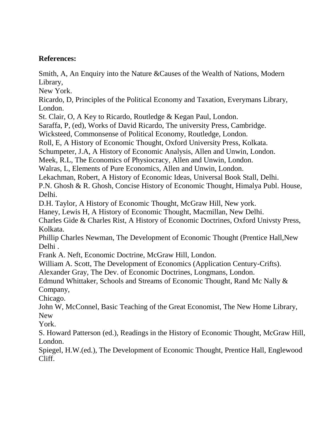# **References:**

Smith, A, An Enquiry into the Nature &Causes of the Wealth of Nations, Modern Library,

New York.

Ricardo, D, Principles of the Political Economy and Taxation, Everymans Library, London.

St. Clair, O, A Key to Ricardo, Routledge & Kegan Paul, London.

Saraffa, P, (ed), Works of David Ricardo, The university Press, Cambridge.

Wicksteed, Commonsense of Political Economy, Routledge, London.

Roll, E, A History of Economic Thought, Oxford University Press, Kolkata.

Schumpeter, J.A, A History of Economic Analysis, Allen and Unwin, London.

Meek, R.L, The Economics of Physiocracy, Allen and Unwin, London.

Walras, L, Elements of Pure Economics, Allen and Unwin, London.

Lekachman, Robert, A History of Economic Ideas, Universal Book Stall, Delhi.

P.N. Ghosh & R. Ghosh, Concise History of Economic Thought, Himalya Publ. House, Delhi.

D.H. Taylor, A History of Economic Thought, McGraw Hill, New york.

Haney, Lewis H, A History of Economic Thought, Macmillan, New Delhi.

Charles Gide & Charles Rist, A History of Economic Doctrines, Oxford Univsty Press, Kolkata.

Phillip Charles Newman, The Development of Economic Thought (Prentice Hall,New Delhi .

Frank A. Neft, Economic Doctrine, McGraw Hill, London.

William A. Scott, The Development of Economics (Application Century-Crifts).

Alexander Gray, The Dev. of Economic Doctrines, Longmans, London.

Edmund Whittaker, Schools and Streams of Economic Thought, Rand Mc Nally & Company,

Chicago.

John W, McConnel, Basic Teaching of the Great Economist, The New Home Library, New

York.

S. Howard Patterson (ed.), Readings in the History of Economic Thought, McGraw Hill, London.

Spiegel, H.W.(ed.), The Development of Economic Thought, Prentice Hall, Englewood Cliff.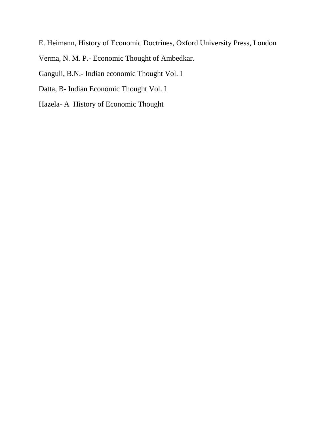E. Heimann, History of Economic Doctrines, Oxford University Press, London Verma, N. M. P.- Economic Thought of Ambedkar.

Ganguli, B.N.- Indian economic Thought Vol. I

Datta, B- Indian Economic Thought Vol. I

Hazela- A History of Economic Thought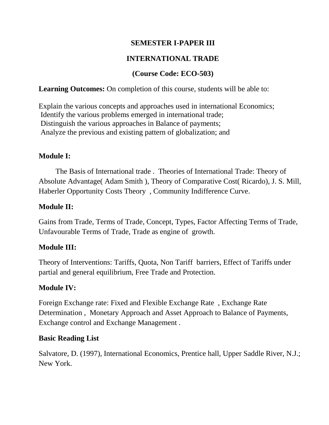# **SEMESTER I-PAPER III**

# **INTERNATIONAL TRADE**

# **(Course Code: ECO-503)**

## **Learning Outcomes:** On completion of this course, students will be able to:

Explain the various concepts and approaches used in international Economics; Identify the various problems emerged in international trade; Distinguish the various approaches in Balance of payments; Analyze the previous and existing pattern of globalization; and

# **Module I:**

 The Basis of International trade . Theories of International Trade: Theory of Absolute Advantage( Adam Smith ), Theory of Comparative Cost( Ricardo), J. S. Mill, Haberler Opportunity Costs Theory , Community Indifference Curve.

## **Module II:**

Gains from Trade, Terms of Trade, Concept, Types, Factor Affecting Terms of Trade, Unfavourable Terms of Trade, Trade as engine of growth.

# **Module III:**

Theory of Interventions: Tariffs, Quota, Non Tariff barriers, Effect of Tariffs under partial and general equilibrium, Free Trade and Protection.

#### **Module IV:**

Foreign Exchange rate: Fixed and Flexible Exchange Rate , Exchange Rate Determination , Monetary Approach and Asset Approach to Balance of Payments, Exchange control and Exchange Management .

#### **Basic Reading List**

Salvatore, D. (1997), International Economics, Prentice hall, Upper Saddle River, N.J.; New York.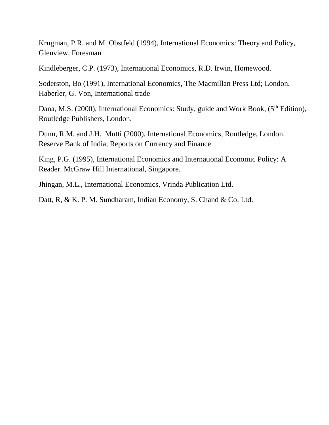Krugman, P.R. and M. Obstfeld (1994), International Economics: Theory and Policy, Glenview, Foresman

Kindleberger, C.P. (1973), International Economics, R.D. Irwin, Homewood.

Soderston, Bo (1991), International Economics, The Macmillan Press Ltd; London. Haberler, G. Von, International trade

Dana, M.S. (2000), International Economics: Study, guide and Work Book, (5<sup>th</sup> Edition), Routledge Publishers, London.

Dunn, R.M. and J.H. Mutti (2000), International Economics, Routledge, London. Reserve Bank of India, Reports on Currency and Finance

King, P.G. (1995), International Economics and International Economic Policy: A Reader. McGraw Hill International, Singapore.

Jhingan, M.L., International Economics, Vrinda Publication Ltd.

Datt, R, & K. P. M. Sundharam, Indian Economy, S. Chand & Co. Ltd.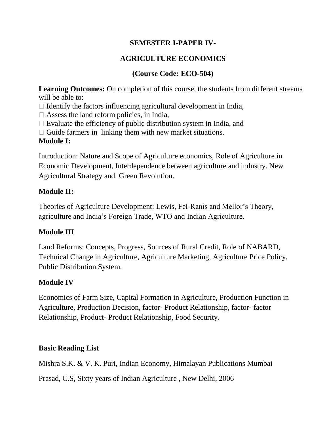# **SEMESTER I-PAPER IV-**

# **AGRICULTURE ECONOMICS**

# **(Course Code: ECO-504)**

Learning Outcomes: On completion of this course, the students from different streams will be able to:

 $\Box$  Identify the factors influencing agricultural development in India,

 $\Box$  Assess the land reform policies, in India,

 $\Box$  Evaluate the efficiency of public distribution system in India, and

 $\Box$  Guide farmers in linking them with new market situations.

# **Module I:**

Introduction: Nature and Scope of Agriculture economics, Role of Agriculture in Economic Development, Interdependence between agriculture and industry. New Agricultural Strategy and Green Revolution.

# **Module II:**

Theories of Agriculture Development: Lewis, Fei-Ranis and Mellor's Theory, agriculture and India's Foreign Trade, WTO and Indian Agriculture.

# **Module III**

Land Reforms: Concepts, Progress, Sources of Rural Credit, Role of NABARD, Technical Change in Agriculture, Agriculture Marketing, Agriculture Price Policy, Public Distribution System.

# **Module IV**

Economics of Farm Size, Capital Formation in Agriculture, Production Function in Agriculture, Production Decision, factor- Product Relationship, factor- factor Relationship, Product- Product Relationship, Food Security.

# **Basic Reading List**

Mishra S.K. & V. K. Puri, Indian Economy, Himalayan Publications Mumbai

Prasad, C.S, Sixty years of Indian Agriculture , New Delhi, 2006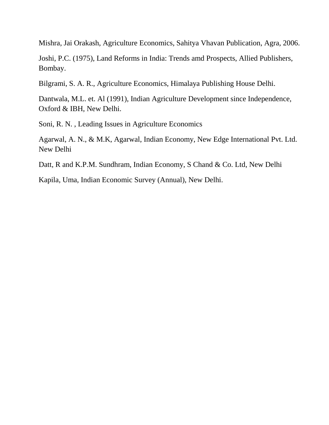Mishra, Jai Orakash, Agriculture Economics, Sahitya Vhavan Publication, Agra, 2006.

Joshi, P.C. (1975), Land Reforms in India: Trends amd Prospects, Allied Publishers, Bombay.

Bilgrami, S. A. R., Agriculture Economics, Himalaya Publishing House Delhi.

Dantwala, M.L. et. Al (1991), Indian Agriculture Development since Independence, Oxford & IBH, New Delhi.

Soni, R. N. , Leading Issues in Agriculture Economics

Agarwal, A. N., & M.K, Agarwal, Indian Economy, New Edge International Pvt. Ltd. New Delhi

Datt, R and K.P.M. Sundhram, Indian Economy, S Chand & Co. Ltd, New Delhi

Kapila, Uma, Indian Economic Survey (Annual), New Delhi.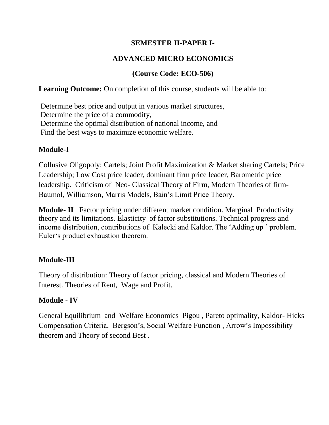# **SEMESTER II-PAPER I**-

# **ADVANCED MICRO ECONOMICS**

# **(Course Code: ECO-506)**

## **Learning Outcome:** On completion of this course, students will be able to:

Determine best price and output in various market structures, Determine the price of a commodity, Determine the optimal distribution of national income, and Find the best ways to maximize economic welfare.

# **Module-I**

Collusive Oligopoly: Cartels; Joint Profit Maximization & Market sharing Cartels; Price Leadership; Low Cost price leader, dominant firm price leader, Barometric price leadership. Criticism of Neo- Classical Theory of Firm, Modern Theories of firm-Baumol, Williamson, Marris Models, Bain's Limit Price Theory.

**Module- II** Factor pricing under different market condition. Marginal Productivity theory and its limitations. Elasticity of factor substitutions. Technical progress and income distribution, contributions of Kalecki and Kaldor. The 'Adding up ' problem. Euler's product exhaustion theorem.

# **Module-III**

Theory of distribution: Theory of factor pricing, classical and Modern Theories of Interest. Theories of Rent, Wage and Profit.

# **Module - IV**

General Equilibrium and Welfare Economics Pigou , Pareto optimality, Kaldor- Hicks Compensation Criteria, Bergson's, Social Welfare Function , Arrow's Impossibility theorem and Theory of second Best .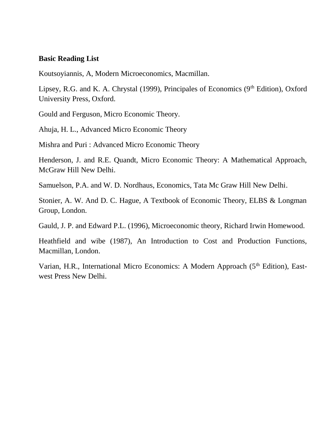#### **Basic Reading List**

Koutsoyiannis, A, Modern Microeconomics, Macmillan.

Lipsey, R.G. and K. A. Chrystal (1999), Principales of Economics (9<sup>th</sup> Edition), Oxford University Press, Oxford.

Gould and Ferguson, Micro Economic Theory.

Ahuja, H. L., Advanced Micro Economic Theory

Mishra and Puri : Advanced Micro Economic Theory

Henderson, J. and R.E. Quandt, Micro Economic Theory: A Mathematical Approach, McGraw Hill New Delhi.

Samuelson, P.A. and W. D. Nordhaus, Economics, Tata Mc Graw Hill New Delhi.

Stonier, A. W. And D. C. Hague, A Textbook of Economic Theory, ELBS & Longman Group, London.

Gauld, J. P. and Edward P.L. (1996), Microeconomic theory, Richard Irwin Homewood.

Heathfield and wibe (1987), An Introduction to Cost and Production Functions, Macmillan, London.

Varian, H.R., International Micro Economics: A Modern Approach (5<sup>th</sup> Edition), Eastwest Press New Delhi.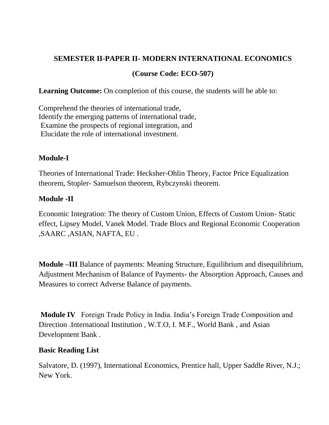# **SEMESTER II-PAPER II- MODERN INTERNATIONAL ECONOMICS**

# **(Course Code: ECO-507)**

**Learning Outcome:** On completion of this course, the students will be able to:

Comprehend the theories of international trade, Identify the emerging patterns of international trade, Examine the prospects of regional integration, and Elucidate the role of international investment.

# **Module-I**

Theories of International Trade: Hecksher-Ohlin Theory, Factor Price Equalization theorem, Stopler- Samuelson theorem, Rybczynski theorem.

# **Module -II**

Economic Integration: The theory of Custom Union, Effects of Custom Union- Static effect, Lipsey Model, Vanek Model. Trade Blocs and Regional Economic Cooperation ,SAARC ,ASIAN, NAFTA, EU .

**Module –III** Balance of payments: Meaning Structure, Equilibrium and disequilibrium, Adjustment Mechanism of Balance of Payments- the Absorption Approach, Causes and Measures to correct Adverse Balance of payments.

**Module IV** Foreign Trade Policy in India. India's Foreign Trade Composition and Direction .International Institution , W.T.O, I. M.F., World Bank , and Asian Development Bank .

# **Basic Reading List**

Salvatore, D. (1997), International Economics, Prentice hall, Upper Saddle River, N.J.; New York.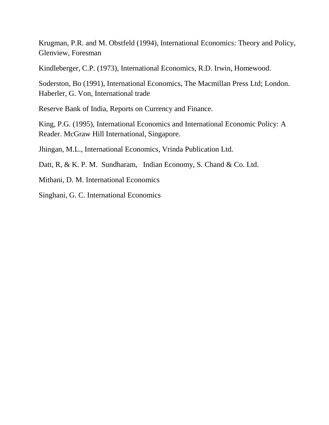Krugman, P.R. and M. Obstfeld (1994), International Economics: Theory and Policy, Glenview, Foresman

Kindleberger, C.P. (1973), International Economics, R.D. Irwin, Homewood.

Soderston, Bo (1991), International Economics, The Macmillan Press Ltd; London. Haberler, G. Von, International trade

Reserve Bank of India, Reports on Currency and Finance.

King, P.G. (1995), International Economics and International Economic Policy: A Reader. McGraw Hill International, Singapore.

Jhingan, M.L., International Economics, Vrinda Publication Ltd.

Datt, R, & K. P. M. Sundharam, Indian Economy, S. Chand & Co. Ltd.

Mithani, D. M. International Economics

Singhani, G. C. International Economics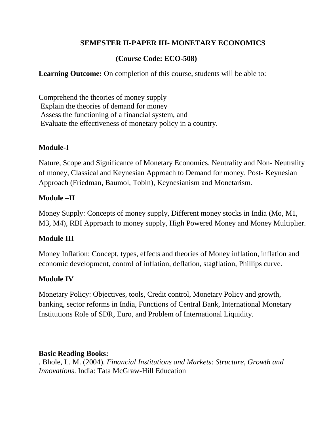# **SEMESTER II-PAPER III- MONETARY ECONOMICS**

# **(Course Code: ECO-508)**

**Learning Outcome:** On completion of this course, students will be able to:

Comprehend the theories of money supply Explain the theories of demand for money Assess the functioning of a financial system, and Evaluate the effectiveness of monetary policy in a country.

## **Module-I**

Nature, Scope and Significance of Monetary Economics, Neutrality and Non- Neutrality of money, Classical and Keynesian Approach to Demand for money, Post- Keynesian Approach (Friedman, Baumol, Tobin), Keynesianism and Monetarism.

## **Module –II**

Money Supply: Concepts of money supply, Different money stocks in India (Mo, M1, M3, M4), RBI Approach to money supply, High Powered Money and Money Multiplier.

# **Module III**

Money Inflation: Concept, types, effects and theories of Money inflation, inflation and economic development, control of inflation, deflation, stagflation, Phillips curve.

# **Module IV**

Monetary Policy: Objectives, tools, Credit control, Monetary Policy and growth, banking, sector reforms in India, Functions of Central Bank, International Monetary Institutions Role of SDR, Euro, and Problem of International Liquidity.

#### **Basic Reading Books:**

. Bhole, L. M. (2004). *Financial Institutions and Markets: Structure, Growth and Innovations*. India: Tata McGraw-Hill Education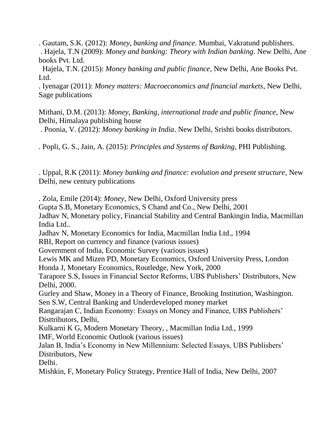. Gautam, S.K. (2012): *Money, banking and finance*. Mumbai, Vakratund publishers. . Hajela, T.N (2009): *Money and banking: Theory with Indian banking*. New Delhi, Ane books Pvt. Ltd.

 Hajela, T.N. (2015): *Money banking and public finance*, New Delhi, Ane Books Pvt. Ltd.

. Iyenagar (2011): *Money matters: Macroeconomics and financial markets*, New Delhi, Sage publications

Mithani, D.M. (2013): *Money, Banking, international trade and public finance*, New Delhi, Himalaya publishing house

. Poonia, V. (2012): *Money banking in India*. New Delhi, Srishti books distributors.

. Popli, G. S., Jain, A. (2015): *Principles and Systems of Banking*, PHI Publishing.

. Uppal, R.K (2011): *Money banking and finance: evolution and present structure*, New Delhi, new century publications

. Zola, Emile (2014): *Money*, New Delhi, Oxford University press Gupta S.B, Monetary Economics, S Chand and Co., New Delhi, 2001 Jadhav N, Monetary policy, Financial Stability and Central Bankingin India, Macmillan India Ltd.. Jadhav N, Monetary Economics for India, Macmillan India Ltd., 1994 RBI, Report on currency and finance (various issues) Government of India, Economic Survey (various issues)

Lewis MK and Mizen PD, Monetary Economics, Oxford University Press, London Honda J, Monetary Economics, Routledge, New York, 2000

Tarapore S.S, Issues in Financial Sector Reforms, UBS Publishers' Distributors, New Delhi, 2000.

Gurley and Shaw, Money in a Theory of Finance, Brooking Institution, Washington. Sen S.W, Central Banking and Underdeveloped money market

Rangarajan C, Indian Economy: Essays on Money and Finance, UBS Publishers' Disttributors, Delhi,

Kulkarni K G, Modern Monetary Theory, , Macmillan India Ltd., 1999 IMF, World Economic Outlook (various issues)

Jalan B, India's Economy in New Millennium: Selected Essays, UBS Publishers' Distributors, New

Delhi.

Mishkin, F, Monetary Policy Strategy, Prentice Hall of India, New Delhi, 2007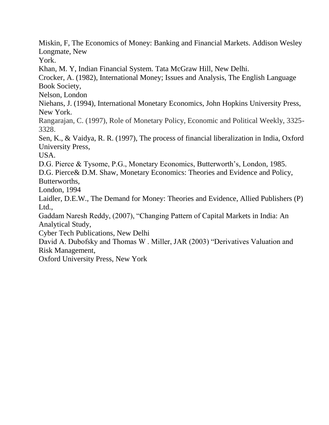Miskin, F, The Economics of Money: Banking and Financial Markets. Addison Wesley Longmate, New

York.

Khan, M. Y, Indian Financial System. Tata McGraw Hill, New Delhi.

Crocker, A. (1982), International Money; Issues and Analysis, The English Language Book Society,

Nelson, London

Niehans, J. (1994), International Monetary Economics, John Hopkins University Press, New York.

Rangarajan, C. (1997), Role of Monetary Policy, Economic and Political Weekly, 3325- 3328.

Sen, K., & Vaidya, R. R. (1997), The process of financial liberalization in India, Oxford University Press,

USA.

D.G. Pierce & Tysome, P.G., Monetary Economics, Butterworth's, London, 1985.

D.G. Pierce& D.M. Shaw, Monetary Economics: Theories and Evidence and Policy, Butterworths,

London, 1994

Laidler, D.E.W., The Demand for Money: Theories and Evidence, Allied Publishers (P) Ltd.,

Gaddam Naresh Reddy, (2007), "Changing Pattern of Capital Markets in India: An Analytical Study,

Cyber Tech Publications, New Delhi

David A. Dubofsky and Thomas W . Miller, JAR (2003) "Derivatives Valuation and Risk Management,

Oxford University Press, New York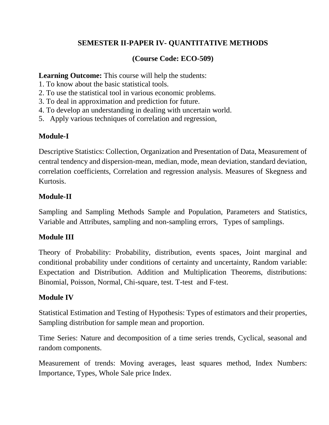# **SEMESTER II-PAPER IV- QUANTITATIVE METHODS**

# **(Course Code: ECO-509)**

Learning Outcome: This course will help the students:

- 1. To know about the basic statistical tools.
- 2. To use the statistical tool in various economic problems.
- 3. To deal in approximation and prediction for future.
- 4. To develop an understanding in dealing with uncertain world.
- 5.Apply various techniques of correlation and regression,

# **Module-I**

Descriptive Statistics: Collection, Organization and Presentation of Data, Measurement of central tendency and dispersion-mean, median, mode, mean deviation, standard deviation, correlation coefficients, Correlation and regression analysis. Measures of Skegness and Kurtosis.

# **Module-II**

Sampling and Sampling Methods Sample and Population, Parameters and Statistics, Variable and Attributes, sampling and non-sampling errors, Types of samplings.

# **Module III**

Theory of Probability: Probability, distribution, events spaces, Joint marginal and conditional probability under conditions of certainty and uncertainty, Random variable: Expectation and Distribution. Addition and Multiplication Theorems, distributions: Binomial, Poisson, Normal, Chi-square, test. T-test and F-test.

# **Module IV**

Statistical Estimation and Testing of Hypothesis: Types of estimators and their properties, Sampling distribution for sample mean and proportion.

Time Series: Nature and decomposition of a time series trends, Cyclical, seasonal and random components.

Measurement of trends: Moving averages, least squares method, Index Numbers: Importance, Types, Whole Sale price Index.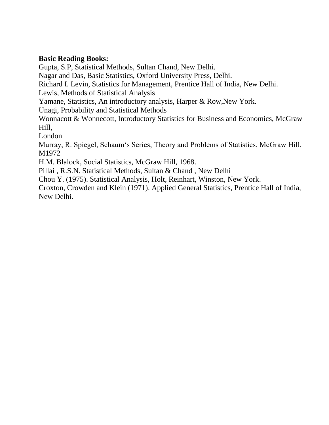#### **Basic Reading Books:**

Gupta, S.P, Statistical Methods, Sultan Chand, New Delhi. Nagar and Das, Basic Statistics, Oxford University Press, Delhi. Richard I. Levin, Statistics for Management, Prentice Hall of India, New Delhi. Lewis, Methods of Statistical Analysis Yamane, Statistics, An introductory analysis, Harper & Row,New York. Unagi, Probability and Statistical Methods Wonnacott & Wonnecott, Introductory Statistics for Business and Economics, McGraw Hill, London Murray, R. Spiegel, Schaum's Series, Theory and Problems of Statistics, McGraw Hill, M1972 H.M. Blalock, Social Statistics, McGraw Hill, 1968. Pillai , R.S.N. Statistical Methods, Sultan & Chand , New Delhi Chou Y. (1975). Statistical Analysis, Holt, Reinhart, Winston, New York. Croxton, Crowden and Klein (1971). Applied General Statistics, Prentice Hall of India, New Delhi.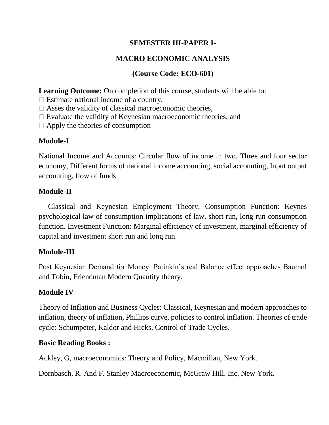# **SEMESTER III-PAPER I-**

# **MACRO ECONOMIC ANALYSIS**

# **(Course Code: ECO-601)**

**Learning Outcome:** On completion of this course, students will be able to:

 $\Box$  Estimate national income of a country,

 $\Box$  Asses the validity of classical macroeconomic theories,

 $\Box$  Evaluate the validity of Keynesian macroeconomic theories, and

 $\Box$  Apply the theories of consumption

# **Module-I**

National Income and Accounts: Circular flow of income in two. Three and four sector economy, Different forms of national income accounting, social accounting, Input output accounting, flow of funds.

# **Module-II**

 Classical and Keynesian Employment Theory, Consumption Function: Keynes psychological law of consumption implications of law, short run, long run consumption function. Investment Function: Marginal efficiency of investment, marginal efficiency of capital and investment short run and long run.

# **Module-III**

Post Keynesian Demand for Money: Patinkin's real Balance effect approaches Baumol and Tobin, Friendman Modern Quantity theory.

# **Module IV**

Theory of Inflation and Business Cycles: Classical, Keynesian and modern approaches to inflation, theory of inflation, Phillips curve, policies to control inflation. Theories of trade cycle: Schumpeter, Kaldor and Hicks, Control of Trade Cycles.

# **Basic Reading Books :**

Ackley, G, macroeconomics: Theory and Policy, Macmillan, New York.

Dornbasch, R. And F. Stanley Macroeconomic, McGraw Hill. Inc, New York.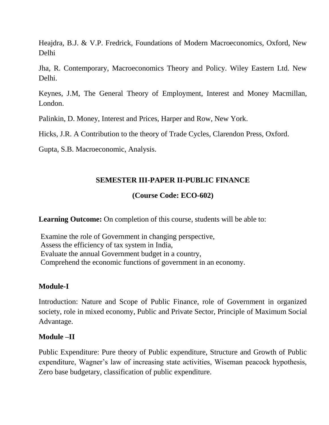Heajdra, B.J. & V.P. Fredrick, Foundations of Modern Macroeconomics, Oxford, New Delhi

Jha, R. Contemporary, Macroeconomics Theory and Policy. Wiley Eastern Ltd. New Delhi.

Keynes, J.M, The General Theory of Employment, Interest and Money Macmillan, London.

Palinkin, D. Money, Interest and Prices, Harper and Row, New York.

Hicks, J.R. A Contribution to the theory of Trade Cycles, Clarendon Press, Oxford.

Gupta, S.B. Macroeconomic, Analysis.

# **SEMESTER III-PAPER II-PUBLIC FINANCE**

# **(Course Code: ECO-602)**

**Learning Outcome:** On completion of this course, students will be able to:

Examine the role of Government in changing perspective, Assess the efficiency of tax system in India, Evaluate the annual Government budget in a country, Comprehend the economic functions of government in an economy.

# **Module-I**

Introduction: Nature and Scope of Public Finance, role of Government in organized society, role in mixed economy, Public and Private Sector, Principle of Maximum Social Advantage.

#### **Module –II**

Public Expenditure: Pure theory of Public expenditure, Structure and Growth of Public expenditure, Wagner's law of increasing state activities, Wiseman peacock hypothesis, Zero base budgetary, classification of public expenditure.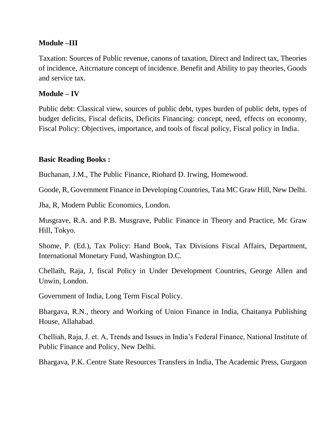#### **Module –III**

Taxation: Sources of Public revenue, canons of taxation, Direct and Indirect tax, Theories of incidence, Aitcrnature concept of incidence. Benefit and Ability to pay theories, Goods and service tax.

## **Module – IV**

Public debt: Classical view, sources of public debt, types burden of public debt, types of budget deficits, Fiscal deficits, Deficits Financing: concept, need, effects on economy, Fiscal Policy: Objectives, importance, and tools of fiscal policy, Fiscal policy in India.

## **Basic Reading Books :**

Buchanan, J.M., The Public Finance, Riohard D. Irwing, Homewood.

Goode, R, Government Finance in Developing Countries, Tata MC Graw Hill, New Delhi.

Jha, R, Modern Public Economics, London.

Musgrave, R.A. and P.B. Musgrave, Public Finance in Theory and Practice, Mc Graw Hill, Tokyo.

Shome, P. (Ed.), Tax Policy: Hand Book, Tax Divisions Fiscal Affairs, Department, International Monetary Fund, Washington D.C.

Chellaih, Raja, J, fiscal Policy in Under Development Countries, George Allen and Unwin, London.

Government of India, Long Term Fiscal Policy.

Bhargava, R.N., theory and Working of Union Finance in India, Chaitanya Publishing House, Allahabad.

Chelliah, Raja, J. et. A, Trends and Issues in India's Federal Finance, National Institute of Public Finance and Policy, New Delhi.

Bhargava, P.K. Centre State Resources Transfers in India, The Academic Press, Gurgaon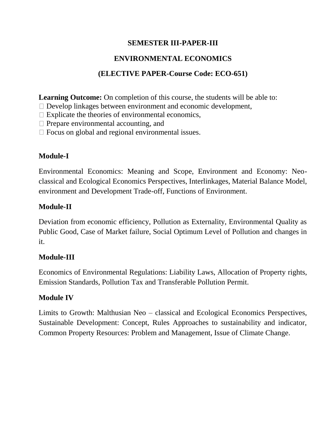# **SEMESTER III-PAPER-III**

# **ENVIRONMENTAL ECONOMICS**

# **(ELECTIVE PAPER-Course Code: ECO-651)**

**Learning Outcome:** On completion of this course, the students will be able to:

- Develop linkages between environment and economic development,
- $\Box$  Explicate the theories of environmental economics,
- $\Box$  Prepare environmental accounting, and
- $\Box$  Focus on global and regional environmental issues.

# **Module-I**

Environmental Economics: Meaning and Scope, Environment and Economy: Neoclassical and Ecological Economics Perspectives, Interlinkages, Material Balance Model, environment and Development Trade-off, Functions of Environment.

# **Module-II**

Deviation from economic efficiency, Pollution as Externality, Environmental Quality as Public Good, Case of Market failure, Social Optimum Level of Pollution and changes in it.

# **Module-III**

Economics of Environmental Regulations: Liability Laws, Allocation of Property rights, Emission Standards, Pollution Tax and Transferable Pollution Permit.

# **Module IV**

Limits to Growth: Malthusian Neo – classical and Ecological Economics Perspectives, Sustainable Development: Concept, Rules Approaches to sustainability and indicator, Common Property Resources: Problem and Management, Issue of Climate Change.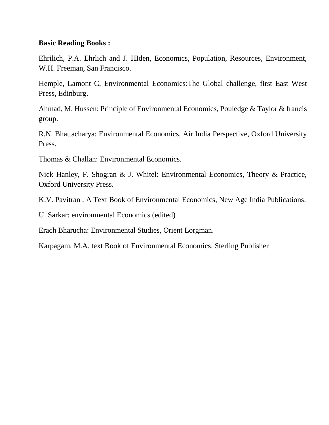#### **Basic Reading Books :**

Ehrilich, P.A. Ehrlich and J. HIden, Economics, Population, Resources, Environment, W.H. Freeman, San Francisco.

Hemple, Lamont C, Environmental Economics:The Global challenge, first East West Press, Edinburg.

Ahmad, M. Hussen: Principle of Environmental Economics, Pouledge & Taylor & francis group.

R.N. Bhattacharya: Environmental Economics, Air India Perspective, Oxford University Press.

Thomas & Challan: Environmental Economics.

Nick Hanley, F. Shogran & J. Whitel: Environmental Economics, Theory & Practice, Oxford University Press.

K.V. Pavitran : A Text Book of Environmental Economics, New Age India Publications.

U. Sarkar: environmental Economics (edited)

Erach Bharucha: Environmental Studies, Orient Lorgman.

Karpagam, M.A. text Book of Environmental Economics, Sterling Publisher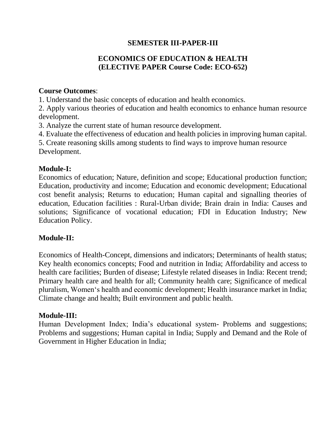# **SEMESTER III-PAPER-III**

# **ECONOMICS OF EDUCATION & HEALTH (ELECTIVE PAPER Course Code: ECO-652)**

#### **Course Outcomes**:

1. Understand the basic concepts of education and health economics.

2. Apply various theories of education and health economics to enhance human resource development.

3. Analyze the current state of human resource development.

4. Evaluate the effectiveness of education and health policies in improving human capital.

5. Create reasoning skills among students to find ways to improve human resource Development.

#### **Module-I:**

Economics of education; Nature, definition and scope; Educational production function; Education, productivity and income; Education and economic development; Educational cost benefit analysis; Returns to education; Human capital and signalling theories of education, Education facilities : Rural-Urban divide; Brain drain in India: Causes and solutions; Significance of vocational education; FDI in Education Industry; New Education Policy.

#### **Module-II:**

Economics of Health-Concept, dimensions and indicators; Determinants of health status; Key health economics concepts; Food and nutrition in India; Affordability and access to health care facilities; Burden of disease; Lifestyle related diseases in India: Recent trend; Primary health care and health for all; Community health care; Significance of medical pluralism, Women's health and economic development; Health insurance market in India; Climate change and health; Built environment and public health.

#### **Module-III:**

Human Development Index; India's educational system- Problems and suggestions; Problems and suggestions; Human capital in India; Supply and Demand and the Role of Government in Higher Education in India;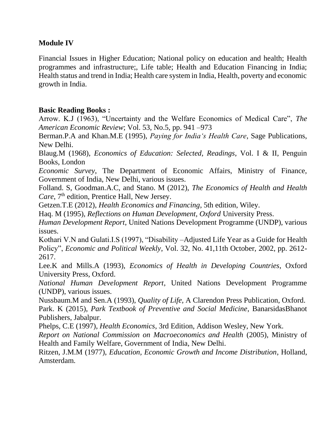#### **Module IV**

Financial Issues in Higher Education; National policy on education and health; Health programmes and infrastructure;, Life table; Health and Education Financing in India; Health status and trend in India; Health care system in India, Health, poverty and economic growth in India.

## **Basic Reading Books :**

Arrow. K.J (1963), "Uncertainty and the Welfare Economics of Medical Care", *The American Economic Review*; Vol. 53, No.5, pp. 941 –973

Berman.P.A and Khan.M.E (1995), *Paying for India's Health Care*, Sage Publications, New Delhi.

Blaug.M (1968), *Economics of Education: Selected, Readings*, Vol. I & II, Penguin Books, London

*Economic Survey*, The Department of Economic Affairs, Ministry of Finance, Government of India, New Delhi, various issues.

Folland. S, Goodman.A.C, and Stano. M (2012), *The Economics of Health and Health Care*, 7<sup>th</sup> edition, Prentice Hall, New Jersey.

Getzen.T.E (2012), *Health Economics and Financing*, 5th edition, Wiley.

Haq. M (1995), *Reflections on Human Development, Oxford* University Press.

*Human Development Report*, United Nations Development Programme (UNDP), various issues.

Kothari V.N and Gulati.I.S (1997), "Disability –Adjusted Life Year as a Guide for Health Policy", *Economic and Political Weekly*, Vol. 32, No. 41,11th October, 2002, pp. 2612- 2617.

Lee.K and Mills.A (1993), *Economics of Health in Developing Countries*, Oxford University Press, Oxford.

*National Human Development Report*, United Nations Development Programme (UNDP), various issues.

Nussbaum.M and Sen.A (1993), *Quality of Life,* A Clarendon Press Publication, Oxford. Park. K (2015), *Park Textbook of Preventive and Social Medicine*, BanarsidasBhanot Publishers, Jabalpur.

Phelps, C.E (1997), *Health Economics*, 3rd Edition, Addison Wesley, New York.

*Report on National Commission on Macroeconomics and Health* (2005), Ministry of Health and Family Welfare, Government of India, New Delhi.

Ritzen, J.M.M (1977), *Education, Economic Growth and Income Distribution*, Holland, Amsterdam.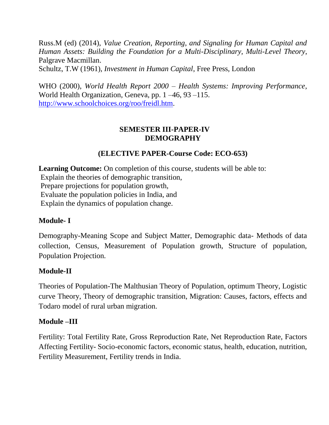Russ.M (ed) (2014), *Value Creation, Reporting, and Signaling for Human Capital and Human Assets: Building the Foundation for a Multi-Disciplinary, Multi-Level Theory*, Palgrave Macmillan.

Schultz, T.W (1961), *Investment in Human Capital*, Free Press, London

WHO (2000), *World Health Report 2000 – Health Systems: Improving Performance*, World Health Organization, Geneva, pp. 1 –46, 93 –115. [http://www.schoolchoices.org/roo/freidl.htm.](http://www.schoolchoices.org/roo/freidl.htm)

# **SEMESTER III-PAPER-IV DEMOGRAPHY**

# **(ELECTIVE PAPER-Course Code: ECO-653)**

Learning Outcome: On completion of this course, students will be able to: Explain the theories of demographic transition, Prepare projections for population growth, Evaluate the population policies in India, and Explain the dynamics of population change.

# **Module- I**

Demography-Meaning Scope and Subject Matter, Demographic data- Methods of data collection, Census, Measurement of Population growth, Structure of population, Population Projection.

#### **Module-II**

Theories of Population-The Malthusian Theory of Population, optimum Theory, Logistic curve Theory, Theory of demographic transition, Migration: Causes, factors, effects and Todaro model of rural urban migration.

#### **Module –III**

Fertility: Total Fertility Rate, Gross Reproduction Rate, Net Reproduction Rate, Factors Affecting Fertility- Socio-economic factors, economic status, health, education, nutrition, Fertility Measurement, Fertility trends in India.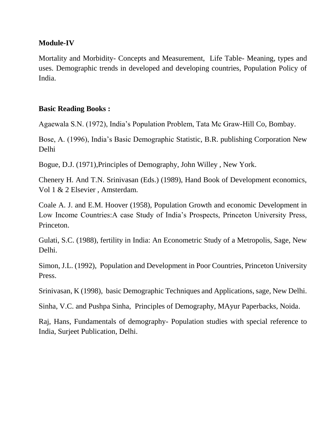#### **Module-IV**

Mortality and Morbidity- Concepts and Measurement, Life Table- Meaning, types and uses. Demographic trends in developed and developing countries, Population Policy of India.

# **Basic Reading Books :**

Agaewala S.N. (1972), India's Population Problem, Tata Mc Graw-Hill Co, Bombay.

Bose, A. (1996), India's Basic Demographic Statistic, B.R. publishing Corporation New Delhi

Bogue, D.J. (1971),Principles of Demography, John Willey , New York.

Chenery H. And T.N. Srinivasan (Eds.) (1989), Hand Book of Development economics, Vol 1 & 2 Elsevier , Amsterdam.

Coale A. J. and E.M. Hoover (1958), Population Growth and economic Development in Low Income Countries:A case Study of India's Prospects, Princeton University Press, Princeton.

Gulati, S.C. (1988), fertility in India: An Econometric Study of a Metropolis, Sage, New Delhi.

Simon, J.L. (1992), Population and Development in Poor Countries, Princeton University Press.

Srinivasan, K (1998), basic Demographic Techniques and Applications, sage, New Delhi.

Sinha, V.C. and Pushpa Sinha, Principles of Demography, MAyur Paperbacks, Noida.

Raj, Hans, Fundamentals of demography- Population studies with special reference to India, Surjeet Publication, Delhi.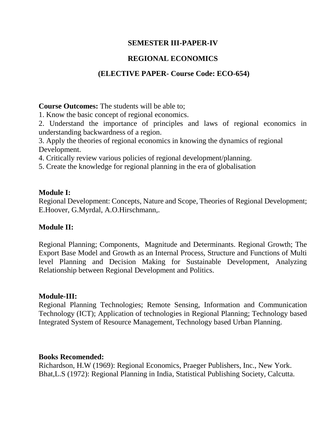## **SEMESTER III-PAPER-IV**

# **REGIONAL ECONOMICS**

# **(ELECTIVE PAPER- Course Code: ECO-654)**

**Course Outcomes:** The students will be able to;

1. Know the basic concept of regional economics.

2. Understand the importance of principles and laws of regional economics in understanding backwardness of a region.

3. Apply the theories of regional economics in knowing the dynamics of regional Development.

4. Critically review various policies of regional development/planning.

5. Create the knowledge for regional planning in the era of globalisation

#### **Module I:**

Regional Development: Concepts, Nature and Scope, Theories of Regional Development; E.Hoover, G.Myrdal, A.O.Hirschmann,.

# **Module II:**

Regional Planning; Components, Magnitude and Determinants. Regional Growth; The Export Base Model and Growth as an Internal Process, Structure and Functions of Multi level Planning and Decision Making for Sustainable Development, Analyzing Relationship between Regional Development and Politics.

#### **Module-III:**

Regional Planning Technologies; Remote Sensing, Information and Communication Technology (ICT); Application of technologies in Regional Planning; Technology based Integrated System of Resource Management, Technology based Urban Planning.

#### **Books Recomended:**

Richardson, H.W (1969): Regional Economics, Praeger Publishers, Inc., New York. Bhat,L.S (1972): Regional Planning in India, Statistical Publishing Society, Calcutta.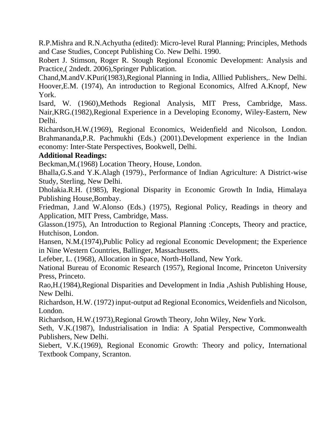R.P.Mishra and R.N.Achyutha (edited): Micro-level Rural Planning; Principles, Methods and Case Studies, Concept Publishing Co. New Delhi. 1990.

Robert J. Stimson, Roger R. Stough Regional Economic Development: Analysis and Practice,( 2ndedt. 2006),Springer Publication.

Chand,M.andV.KPuri(1983),Regional Planning in India, Alllied Publishers,. New Delhi. Hoover,E.M. (1974), An introduction to Regional Economics, Alfred A.Knopf, New York.

Isard, W. (1960),Methods Regional Analysis, MIT Press, Cambridge, Mass. Nair,KRG.(1982),Regional Experience in a Developing Economy, Wiley-Eastern, New Delhi.

Richardson,H.W.(1969), Regional Economics, Weidenfield and Nicolson, London. Brahmananda,P.R. Pachmukhi (Eds.) (2001).Development experience in the Indian economy: Inter-State Perspectives, Bookwell, Delhi.

## **Additional Readings:**

Beckman,M.(1968) Location Theory, House, London.

Bhalla,G.S.and Y.K.Alagh (1979)., Performance of Indian Agriculture: A District-wise Study, Sterling, New Delhi.

Dholakia.R.H. (1985), Regional Disparity in Economic Growth In India, Himalaya Publishing House,Bombay.

Friedman, J.and W.Alonso (Eds.) (1975), Regional Policy, Readings in theory and Application, MIT Press, Cambridge, Mass.

Glasson.(1975), An Introduction to Regional Planning :Concepts, Theory and practice, Hutchison, London.

Hansen, N.M.(1974),Public Policy ad regional Economic Development; the Experience in Nine Western Countries, Ballinger, Massachusetts.

Lefeber, L. (1968), Allocation in Space, North-Holland, New York.

National Bureau of Economic Research (1957), Regional Income, Princeton University Press, Princeto.

Rao,H.(1984),Regional Disparities and Development in India ,Ashish Publishing House, New Delhi.

Richardson, H.W. (1972) input-output ad Regional Economics, Weidenfiels and Nicolson, London.

Richardson, H.W.(1973),Regional Growth Theory, John Wiley, New York.

Seth, V.K.(1987), Industrialisation in India: A Spatial Perspective, Commonwealth Publishers, New Delhi.

Siebert, V.K.(1969), Regional Economic Growth: Theory and policy, International Textbook Company, Scranton.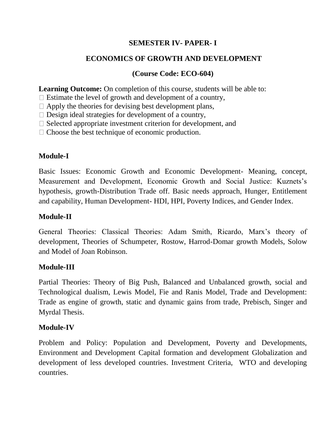# **SEMESTER IV- PAPER- I**

# **ECONOMICS OF GROWTH AND DEVELOPMENT**

# **(Course Code: ECO-604)**

Learning Outcome: On completion of this course, students will be able to:

 $\Box$  Estimate the level of growth and development of a country,

 $\Box$  Apply the theories for devising best development plans,

 $\Box$  Design ideal strategies for development of a country,

 $\Box$  Selected appropriate investment criterion for development, and

 $\Box$  Choose the best technique of economic production.

# **Module-I**

Basic Issues: Economic Growth and Economic Development- Meaning, concept, Measurement and Development, Economic Growth and Social Justice: Kuznets's hypothesis, growth-Distribution Trade off. Basic needs approach, Hunger, Entitlement and capability, Human Development- HDI, HPI, Poverty Indices, and Gender Index.

# **Module-II**

General Theories: Classical Theories: Adam Smith, Ricardo, Marx's theory of development, Theories of Schumpeter, Rostow, Harrod-Domar growth Models, Solow and Model of Joan Robinson.

# **Module-III**

Partial Theories: Theory of Big Push, Balanced and Unbalanced growth, social and Technological dualism, Lewis Model, Fie and Ranis Model, Trade and Development: Trade as engine of growth, static and dynamic gains from trade, Prebisch, Singer and Myrdal Thesis.

# **Module-IV**

Problem and Policy: Population and Development, Poverty and Developments, Environment and Development Capital formation and development Globalization and development of less developed countries. Investment Criteria, WTO and developing countries.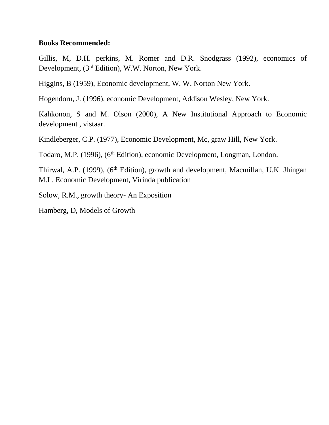#### **Books Recommended:**

Gillis, M, D.H. perkins, M. Romer and D.R. Snodgrass (1992), economics of Development, (3rd Edition), W.W. Norton, New York.

Higgins, B (1959), Economic development, W. W. Norton New York.

Hogendorn, J. (1996), economic Development, Addison Wesley, New York.

Kahkonon, S and M. Olson (2000), A New Institutional Approach to Economic development , vistaar.

Kindleberger, C.P. (1977), Economic Development, Mc, graw Hill, New York.

Todaro, M.P. (1996), (6<sup>th</sup> Edition), economic Development, Longman, London.

Thirwal, A.P. (1999), (6<sup>th</sup> Edition), growth and development, Macmillan, U.K. Jhingan M.L. Economic Development, Virinda publication

Solow, R.M., growth theory- An Exposition

Hamberg, D, Models of Growth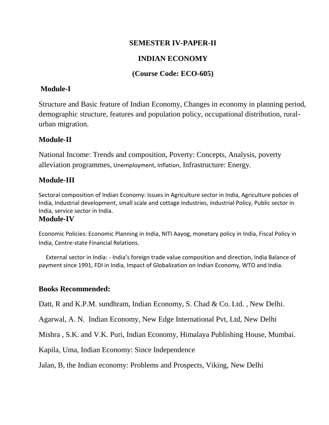#### **SEMESTER IV-PAPER-II**

# **INDIAN ECONOMY**

## **(Course Code: ECO-605)**

## **Module-I**

Structure and Basic feature of Indian Economy, Changes in economy in planning period, demographic structure, features and population policy, occupational distribution, ruralurban migration.

# **Module-II**

National Income: Trends and composition, Poverty: Concepts, Analysis, poverty alleviation programmes, Unemployment, Inflation, Infrastructure: Energy.

#### **Module-III**

Sectoral composition of Indian Economy: Issues in Agriculture sector in India, Agriculture policies of India, Industrial development, small scale and cottage industries, industrial Policy, Public sector in India, service sector in India.

#### **Module-IV**

Economic Policies: Economic Planning in India, NITI Aayog, monetary policy in India, Fiscal Policy in India, Centre-state Financial Relations.

 External sector in India: - India's foreign trade value composition and direction, India Balance of payment since 1991, FDI in India, Impact of Globalization on Indian Economy, WTO and India.

#### **Books Recommended:**

Datt, R and K.P.M. sundhram, Indian Economy, S. Chad & Co. Ltd. , New Delhi.

Agarwal, A. N. Indian Economy, New Edge International Pvt, Ltd, New Delhi

Mishra , S.K. and V.K. Puri, Indian Economy, Himalaya Publishing House, Mumbai.

Kapila, Uma, Indian Economy: Since Independence

Jalan, B, the Indian economy: Problems and Prospects, Viking, New Delhi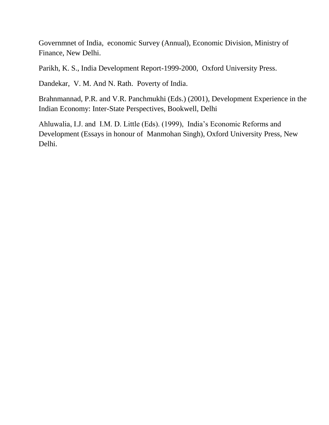Governmnet of India, economic Survey (Annual), Economic Division, Ministry of Finance, New Delhi.

Parikh, K. S., India Development Report-1999-2000, Oxford University Press.

Dandekar, V. M. And N. Rath. Poverty of India.

Brahnmannad, P.R. and V.R. Panchmukhi (Eds.) (2001), Development Experience in the Indian Economy: Inter-State Perspectives, Bookwell, Delhi

Ahluwalia, I.J. and I.M. D. Little (Eds). (1999), India's Economic Reforms and Development (Essays in honour of Manmohan Singh), Oxford University Press, New Delhi.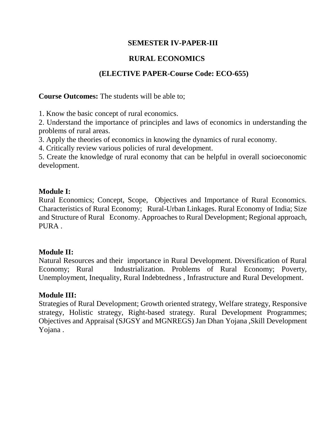## **SEMESTER IV-PAPER-III**

# **RURAL ECONOMICS**

# **(ELECTIVE PAPER-Course Code: ECO-655)**

**Course Outcomes:** The students will be able to;

1. Know the basic concept of rural economics.

2. Understand the importance of principles and laws of economics in understanding the problems of rural areas.

3. Apply the theories of economics in knowing the dynamics of rural economy.

4. Critically review various policies of rural development.

5. Create the knowledge of rural economy that can be helpful in overall socioeconomic development.

#### **Module I:**

Rural Economics; Concept, Scope, Objectives and Importance of Rural Economics. Characteristics of Rural Economy; Rural-Urban Linkages. Rural Economy of India; Size and Structure of Rural Economy. Approaches to Rural Development; Regional approach, PURA.

#### **Module II:**

Natural Resources and their importance in Rural Development. Diversification of Rural Economy; Rural Industrialization. Problems of Rural Economy; Poverty, Unemployment, Inequality, Rural Indebtedness , Infrastructure and Rural Development.

#### **Module III:**

Strategies of Rural Development; Growth oriented strategy, Welfare strategy, Responsive strategy, Holistic strategy, Right-based strategy. Rural Development Programmes; Objectives and Appraisal (SJGSY and MGNREGS) Jan Dhan Yojana ,Skill Development Yojana .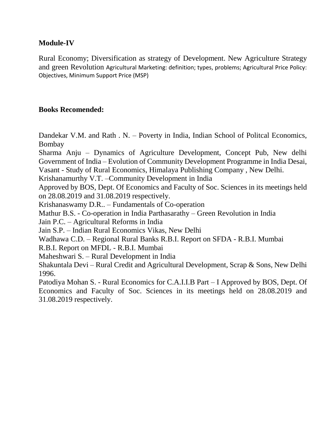#### **Module-IV**

Rural Economy; Diversification as strategy of Development. New Agriculture Strategy and green Revolution Agricultural Marketing: definition; types, problems; Agricultural Price Policy: Objectives, Minimum Support Price (MSP)

## **Books Recomended:**

Dandekar V.M. and Rath . N. – Poverty in India, Indian School of Politcal Economics, Bombay

Sharma Anju – Dynamics of Agriculture Development, Concept Pub, New delhi Government of India – Evolution of Community Development Programme in India Desai, Vasant - Study of Rural Economics, Himalaya Publishing Company , New Delhi.

Krishanamurthy V.T. –Community Development in India

Approved by BOS, Dept. Of Economics and Faculty of Soc. Sciences in its meetings held on 28.08.2019 and 31.08.2019 respectively.

Krishanaswamy D.R.. – Fundamentals of Co-operation

Mathur B.S. - Co-operation in India Parthasarathy – Green Revolution in India

Jain P.C. – Agricultural Reforms in India

Jain S.P. – Indian Rural Economics Vikas, New Delhi

Wadhawa C.D. – Regional Rural Banks R.B.I. Report on SFDA - R.B.I. Mumbai

R.B.I. Report on MFDL - R.B.I. Mumbai

Maheshwari S. – Rural Development in India

Shakuntala Devi – Rural Credit and Agricultural Development, Scrap & Sons, New Delhi 1996.

Patodiya Mohan S. - Rural Economics for C.A.I.I.B Part – I Approved by BOS, Dept. Of Economics and Faculty of Soc. Sciences in its meetings held on 28.08.2019 and 31.08.2019 respectively.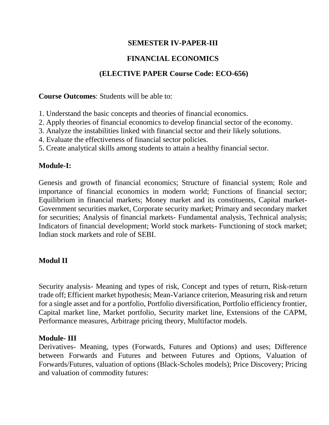# **SEMESTER IV-PAPER-III**

# **FINANCIAL ECONOMICS**

# **(ELECTIVE PAPER Course Code: ECO-656)**

**Course Outcomes**: Students will be able to:

- 1. Understand the basic concepts and theories of financial economics.
- 2. Apply theories of financial economics to develop financial sector of the economy.
- 3. Analyze the instabilities linked with financial sector and their likely solutions.
- 4. Evaluate the effectiveness of financial sector policies.
- 5. Create analytical skills among students to attain a healthy financial sector.

# **Module-I:**

Genesis and growth of financial economics; Structure of financial system; Role and importance of financial economics in modern world; Functions of financial sector; Equilibrium in financial markets; Money market and its constituents, Capital market-Government securities market, Corporate security market; Primary and secondary market for securities; Analysis of financial markets- Fundamental analysis, Technical analysis; Indicators of financial development; World stock markets- Functioning of stock market; Indian stock markets and role of SEBI.

# **Modul II**

Security analysis- Meaning and types of risk, Concept and types of return, Risk-return trade off; Efficient market hypothesis; Mean-Variance criterion, Measuring risk and return for a single asset and for a portfolio, Portfolio diversification, Portfolio efficiency frontier, Capital market line, Market portfolio, Security market line, Extensions of the CAPM, Performance measures, Arbitrage pricing theory, Multifactor models.

# **Module- III**

Derivatives- Meaning, types (Forwards, Futures and Options) and uses; Difference between Forwards and Futures and between Futures and Options, Valuation of Forwards/Futures, valuation of options (Black-Scholes models); Price Discovery; Pricing and valuation of commodity futures: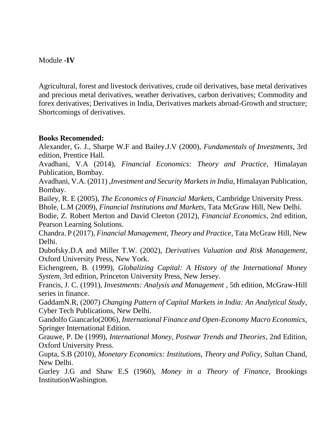## Module **-IV**

Agricultural, forest and livestock derivatives, crude oil derivatives, base metal derivatives and precious metal derivatives, weather derivatives, carbon derivatives; Commodity and forex derivatives; Derivatives in India, Derivatives markets abroad-Growth and structure; Shortcomings of derivatives.

## **Books Recomended:**

Alexander, G. J., Sharpe W.F and Bailey.J.V (2000), *Fundamentals of Investments*, 3rd edition, Prentice Hall.

Avadhani, V.A (2014), *Financial Economics: Theory and Practice*, Himalayan Publication, Bombay.

Avadhani, V.A. (2011) ,*Investment and Security Markets in India*, Himalayan Publication, Bombay.

Bailey, R. E (2005), *The Economics of Financial Markets,* Cambridge University Press. Bhole, L.M (2009), *Financial Institutions and Markets*, Tata McGraw Hill, New Delhi.

Bodie, Z. Robert Merton and David Cleeton (2012), *Financial Economics*, 2nd edition, Pearson Learning Solutions.

Chandra. P (2017), *Financial Management, Theory and Practice*, Tata McGraw Hill, New Delhi.

Dubofsky.D.A and Miller T.W. (2002), *Derivatives Valuation and Risk Management*, Oxford University Press, New York.

Eichengreen, B. (1999), *Globalizing Capital: A History of the International Money System*, 3rd edition, Princeton University Press, New Jersey.

Francis, J. C. (1991), *Investments: Analysis and Management* , 5th edition, McGraw-Hill series in finance.

GaddamN.R, (2007) *Changing Pattern of Capital Markets in India: An Analytical Study*, Cyber Tech Publications, New Delhi.

Gandolfo Giancarlo(2006), *International Finance and Open-Economy Macro Economics*, Springer International Edition.

Grauwe, P. De (1999), *International Money, Postwar Trends and Theories*, 2nd Edition, Oxford University Press.

Gupta, S.B (2010), *Monetary Economics: Institutions, Theory and Policy,* Sultan Chand, New Delhi.

Gurley J.G and Shaw E.S (1960), *Money in a Theory of Finance*, Brookings InstitutionWashington.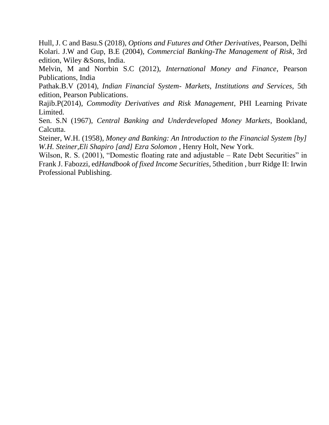Hull, J. C and Basu.S (2018), *Options and Futures and Other Derivatives*, Pearson, Delhi Kolari. J.W and Gup, B.E (2004), *Commercial Banking-The Management of Risk*, 3rd edition, Wiley &Sons, India.

Melvin, M and Norrbin S.C (2012), *International Money and Finance*, Pearson Publications, India

Pathak.B.V (2014), *Indian Financial System- Markets, Institutions and Services,* 5th edition, Pearson Publications.

Rajib.P(2014), *Commodity Derivatives and Risk Management*, PHI Learning Private Limited.

Sen. S.N (1967), *Central Banking and Underdeveloped Money Markets*, Bookland, Calcutta.

Steiner, W.H. (1958), *Money and Banking: An Introduction to the Financial System [by]*  W.H. Steiner, Eli Shapiro [and] Ezra Solomon, Henry Holt, New York.

Wilson, R. S. (2001), "Domestic floating rate and adjustable – Rate Debt Securities" in Frank J. Fabozzi, ed*Handbook of fixed Income Securities*, 5thedition , burr Ridge II: Irwin Professional Publishing.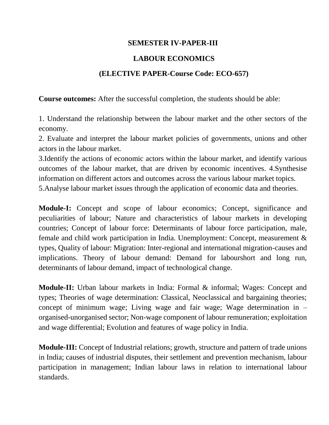#### **SEMESTER IV-PAPER-III**

# **LABOUR ECONOMICS**

## **(ELECTIVE PAPER-Course Code: ECO-657)**

**Course outcomes:** After the successful completion, the students should be able:

1. Understand the relationship between the labour market and the other sectors of the economy.

2. Evaluate and interpret the labour market policies of governments, unions and other actors in the labour market.

3.Identify the actions of economic actors within the labour market, and identify various outcomes of the labour market, that are driven by economic incentives. 4.Synthesise information on different actors and outcomes across the various labour market topics. 5.Analyse labour market issues through the application of economic data and theories.

**Module-I:** Concept and scope of labour economics; Concept, significance and peculiarities of labour; Nature and characteristics of labour markets in developing countries; Concept of labour force: Determinants of labour force participation, male, female and child work participation in India. Unemployment: Concept, measurement & types, Quality of labour: Migration: Inter-regional and international migration-causes and implications. Theory of labour demand: Demand for labourshort and long run, determinants of labour demand, impact of technological change.

**Module-II:** Urban labour markets in India: Formal & informal; Wages: Concept and types; Theories of wage determination: Classical, Neoclassical and bargaining theories; concept of minimum wage; Living wage and fair wage; Wage determination in – organised-unorganised sector; Non-wage component of labour remuneration; exploitation and wage differential; Evolution and features of wage policy in India.

**Module-III:** Concept of Industrial relations; growth, structure and pattern of trade unions in India; causes of industrial disputes, their settlement and prevention mechanism, labour participation in management; Indian labour laws in relation to international labour standards.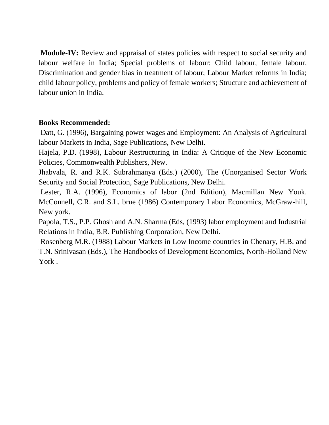**Module-IV:** Review and appraisal of states policies with respect to social security and labour welfare in India; Special problems of labour: Child labour, female labour, Discrimination and gender bias in treatment of labour; Labour Market reforms in India; child labour policy, problems and policy of female workers; Structure and achievement of labour union in India.

## **Books Recommended:**

Datt, G. (1996), Bargaining power wages and Employment: An Analysis of Agricultural labour Markets in India, Sage Publications, New Delhi.

Hajela, P.D. (1998), Labour Restructuring in India: A Critique of the New Economic Policies, Commonwealth Publishers, New.

Jhabvala, R. and R.K. Subrahmanya (Eds.) (2000), The (Unorganised Sector Work Security and Social Protection, Sage Publications, New Delhi.

Lester, R.A. (1996), Economics of labor (2nd Edition), Macmillan New Youk. McConnell, C.R. and S.L. brue (1986) Contemporary Labor Economics, McGraw-hill, New york.

Papola, T.S., P.P. Ghosh and A.N. Sharma (Eds, (1993) labor employment and Industrial Relations in India, B.R. Publishing Corporation, New Delhi.

Rosenberg M.R. (1988) Labour Markets in Low Income countries in Chenary, H.B. and T.N. Srinivasan (Eds.), The Handbooks of Development Economics, North-Holland New York .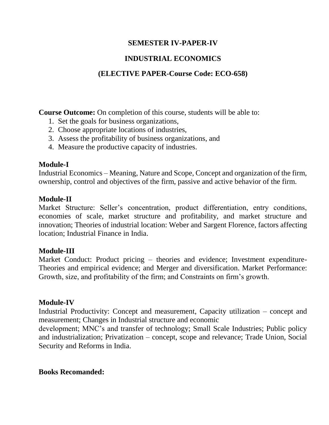# **SEMESTER IV-PAPER-IV**

# **INDUSTRIAL ECONOMICS**

# **(ELECTIVE PAPER-Course Code: ECO-658)**

**Course Outcome:** On completion of this course, students will be able to:

- 1. Set the goals for business organizations,
- 2. Choose appropriate locations of industries,
- 3. Assess the profitability of business organizations, and
- 4. Measure the productive capacity of industries.

## **Module-I**

Industrial Economics – Meaning, Nature and Scope, Concept and organization of the firm, ownership, control and objectives of the firm, passive and active behavior of the firm.

## **Module-II**

Market Structure: Seller's concentration, product differentiation, entry conditions, economies of scale, market structure and profitability, and market structure and innovation; Theories of industrial location: Weber and Sargent Florence, factors affecting location; Industrial Finance in India.

# **Module-III**

Market Conduct: Product pricing – theories and evidence; Investment expenditure-Theories and empirical evidence; and Merger and diversification. Market Performance: Growth, size, and profitability of the firm; and Constraints on firm's growth.

#### **Module-IV**

Industrial Productivity: Concept and measurement, Capacity utilization – concept and measurement; Changes in Industrial structure and economic

development; MNC's and transfer of technology; Small Scale Industries; Public policy and industrialization; Privatization – concept, scope and relevance; Trade Union, Social Security and Reforms in India.

# **Books Recomanded:**